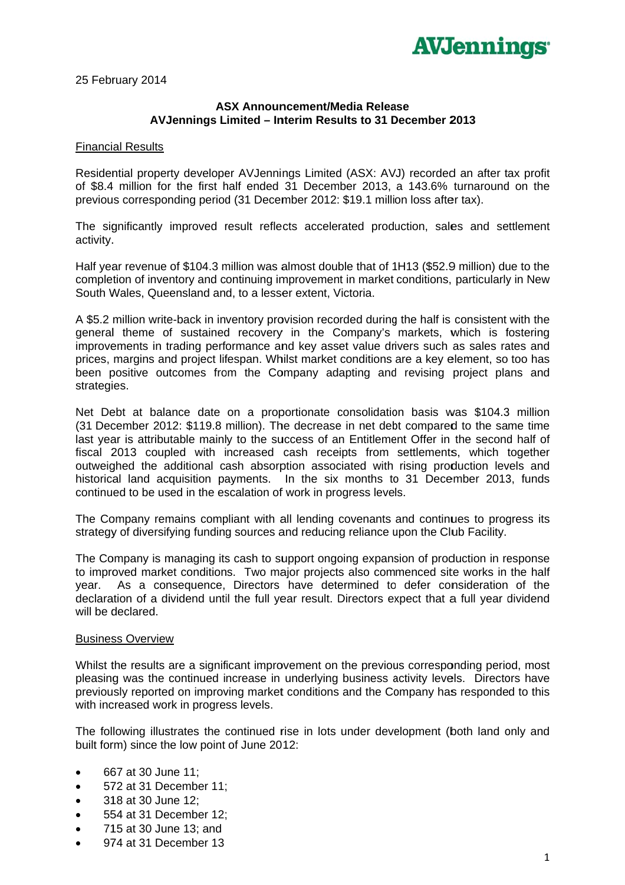

25 February 2014

## **ASX Announcement/Media Release** AVJennings Limited - Interim Results to 31 December 2013

## **Financial Results**

Residential property developer AVJennings Limited (ASX: AVJ) recorded an after tax profit of \$8.4 million for the first half ended 31 December 2013, a 143.6% turnaround on the previous corresponding period (31 December 2012: \$19.1 million loss after tax).

The significantly improved result reflects accelerated production, sales and settlement activity.

Half year revenue of \$104.3 million was almost double that of 1H13 (\$52.9 million) due to the completion of inventory and continuing improvement in market conditions, particularly in New South Wales, Queensland and, to a lesser extent, Victoria.

A \$5.2 million write-back in inventory provision recorded during the half is consistent with the general theme of sustained recovery in the Company's markets, which is fostering improvements in trading performance and key asset value drivers such as sales rates and prices, margins and project lifespan. Whilst market conditions are a key element, so too has been positive outcomes from the Company adapting and revising project plans and strategies.

Net Debt at balance date on a proportionate consolidation basis was \$104.3 million (31 December 2012: \$119.8 million). The decrease in net debt compared to the same time last vear is attributable mainly to the success of an Entitlement Offer in the second half of fiscal 2013 coupled with increased cash receipts from settlements, which together outweighed the additional cash absorption associated with rising production levels and historical land acquisition payments. In the six months to 31 December 2013, funds continued to be used in the escalation of work in progress levels.

The Company remains compliant with all lending covenants and continues to progress its strategy of diversifying funding sources and reducing reliance upon the Club Facility.

The Company is managing its cash to support ongoing expansion of production in response to improved market conditions. Two major projects also commenced site works in the half As a consequence, Directors have determined to defer consideration of the year. declaration of a dividend until the full year result. Directors expect that a full year dividend will be declared.

## **Business Overview**

Whilst the results are a significant improvement on the previous corresponding period, most pleasing was the continued increase in underlying business activity levels. Directors have previously reported on improving market conditions and the Company has responded to this with increased work in progress levels.

The following illustrates the continued rise in lots under development (both land only and built form) since the low point of June 2012:

- 667 at 30 June 11;
- 572 at 31 December 11:  $\bullet$
- 318 at 30 June 12;  $\bullet$
- 554 at 31 December 12;  $\bullet$
- 715 at 30 June 13; and  $\bullet$
- 974 at 31 December 13